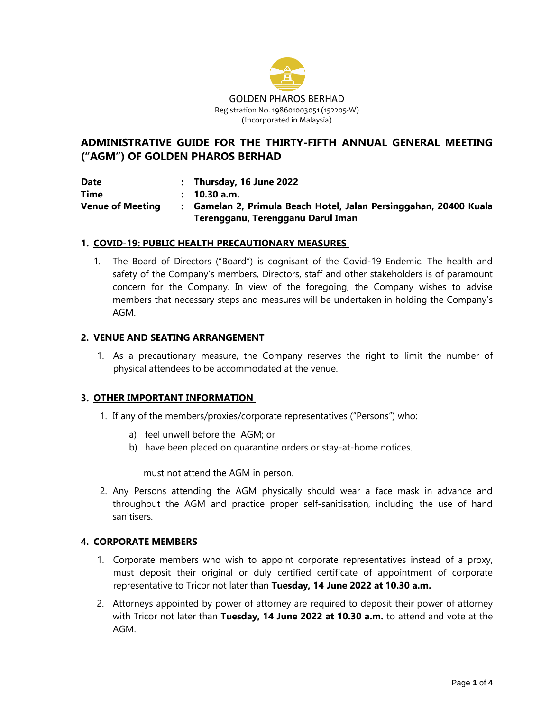

# **ADMINISTRATIVE GUIDE FOR THE THIRTY-FIFTH ANNUAL GENERAL MEETING ("AGM") OF GOLDEN PHAROS BERHAD**

**Date : Thursday, 16 June 2022 Time : 10.30 a.m. Venue of Meeting : Gamelan 2, Primula Beach Hotel, Jalan Persinggahan, 20400 Kuala Terengganu, Terengganu Darul Iman**

#### **1. COVID-19: PUBLIC HEALTH PRECAUTIONARY MEASURES**

1. The Board of Directors ("Board") is cognisant of the Covid-19 Endemic. The health and safety of the Company's members, Directors, staff and other stakeholders is of paramount concern for the Company. In view of the foregoing, the Company wishes to advise members that necessary steps and measures will be undertaken in holding the Company's AGM.

#### **2. VENUE AND SEATING ARRANGEMENT**

1. As a precautionary measure, the Company reserves the right to limit the number of physical attendees to be accommodated at the venue.

#### **3. OTHER IMPORTANT INFORMATION**

- 1. If any of the members/proxies/corporate representatives ("Persons") who:
	- a) feel unwell before the AGM; or
	- b) have been placed on quarantine orders or stay-at-home notices.

must not attend the AGM in person.

2. Any Persons attending the AGM physically should wear a face mask in advance and throughout the AGM and practice proper self-sanitisation, including the use of hand sanitisers.

#### **4. CORPORATE MEMBERS**

- 1. Corporate members who wish to appoint corporate representatives instead of a proxy, must deposit their original or duly certified certificate of appointment of corporate representative to Tricor not later than **Tuesday, 14 June 2022 at 10.30 a.m.**
- 2. Attorneys appointed by power of attorney are required to deposit their power of attorney with Tricor not later than **Tuesday, 14 June 2022 at 10.30 a.m.** to attend and vote at the AGM.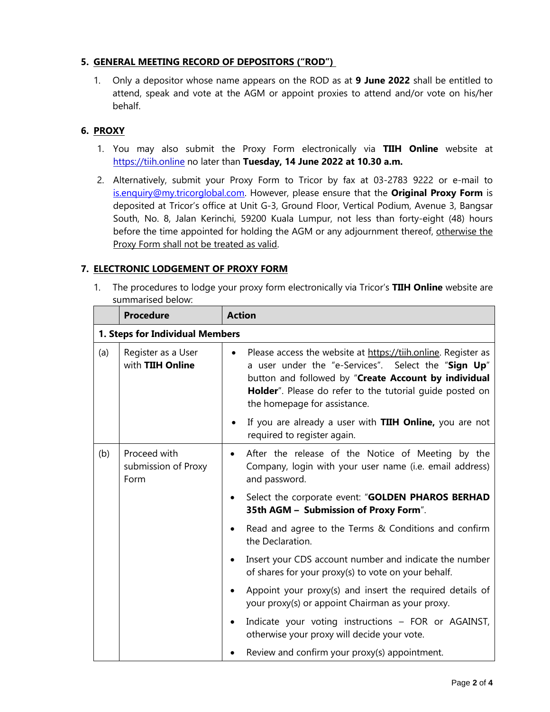### **5. GENERAL MEETING RECORD OF DEPOSITORS ("ROD")**

1. Only a depositor whose name appears on the ROD as at **9 June 2022** shall be entitled to attend, speak and vote at the AGM or appoint proxies to attend and/or vote on his/her behalf.

### **6. PROXY**

- 1. You may also submit the Proxy Form electronically via **TIIH Online** website at https://tiih.online no later than **Tuesday, 14 June 2022 at 10.30 a.m.**
- 2. Alternatively, submit your Proxy Form to Tricor by fax at 03-2783 9222 or e-mail to [is.enquiry@my.tricorglobal.com.](mailto:is.enquiry@my.tricorglobal.com) However, please ensure that the **Original Proxy Form** is deposited at Tricor's office at Unit G-3, Ground Floor, Vertical Podium, Avenue 3, Bangsar South, No. 8, Jalan Kerinchi, 59200 Kuala Lumpur, not less than forty-eight (48) hours before the time appointed for holding the AGM or any adjournment thereof, otherwise the Proxy Form shall not be treated as valid.

### **7. ELECTRONIC LODGEMENT OF PROXY FORM**

1. The procedures to lodge your proxy form electronically via Tricor's **TIIH Online** website are summarised below:

|                                 | <b>Procedure</b>                            | <b>Action</b>                                                                                                                                                                                                                                                                         |  |  |  |
|---------------------------------|---------------------------------------------|---------------------------------------------------------------------------------------------------------------------------------------------------------------------------------------------------------------------------------------------------------------------------------------|--|--|--|
| 1. Steps for Individual Members |                                             |                                                                                                                                                                                                                                                                                       |  |  |  |
| (a)                             | Register as a User<br>with TIIH Online      | Please access the website at https://tiih.online. Register as<br>$\bullet$<br>a user under the "e-Services". Select the "Sign Up"<br>button and followed by "Create Account by individual<br>Holder". Please do refer to the tutorial guide posted on<br>the homepage for assistance. |  |  |  |
|                                 |                                             | If you are already a user with TIIH Online, you are not<br>required to register again.                                                                                                                                                                                                |  |  |  |
| (b)                             | Proceed with<br>submission of Proxy<br>Form | After the release of the Notice of Meeting by the<br>$\bullet$<br>Company, login with your user name (i.e. email address)<br>and password.                                                                                                                                            |  |  |  |
|                                 |                                             | Select the corporate event: "GOLDEN PHAROS BERHAD<br>35th AGM - Submission of Proxy Form".                                                                                                                                                                                            |  |  |  |
|                                 |                                             | Read and agree to the Terms & Conditions and confirm<br>the Declaration.                                                                                                                                                                                                              |  |  |  |
|                                 |                                             | Insert your CDS account number and indicate the number<br>of shares for your proxy(s) to vote on your behalf.                                                                                                                                                                         |  |  |  |
|                                 |                                             | Appoint your proxy(s) and insert the required details of<br>your proxy(s) or appoint Chairman as your proxy.                                                                                                                                                                          |  |  |  |
|                                 |                                             | Indicate your voting instructions - FOR or AGAINST,<br>otherwise your proxy will decide your vote.                                                                                                                                                                                    |  |  |  |
|                                 |                                             | Review and confirm your proxy(s) appointment.                                                                                                                                                                                                                                         |  |  |  |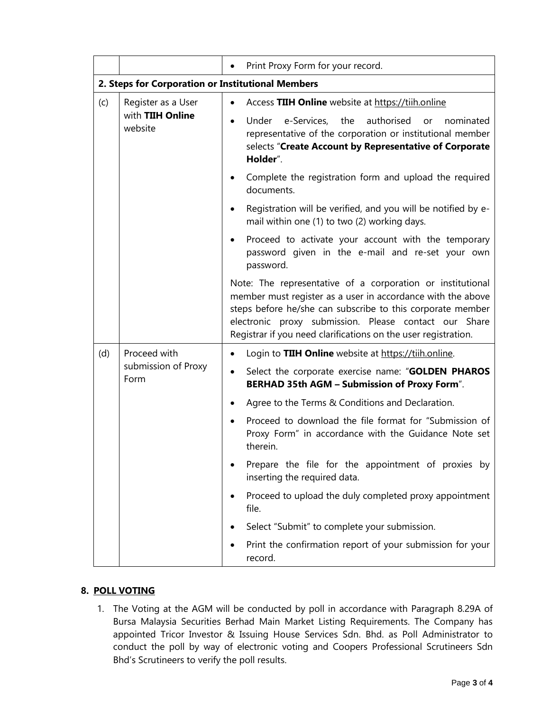|                                                   |                                                   | Print Proxy Form for your record.                                                                                                                                                                                                                                                                                  |  |  |  |  |  |
|---------------------------------------------------|---------------------------------------------------|--------------------------------------------------------------------------------------------------------------------------------------------------------------------------------------------------------------------------------------------------------------------------------------------------------------------|--|--|--|--|--|
| 2. Steps for Corporation or Institutional Members |                                                   |                                                                                                                                                                                                                                                                                                                    |  |  |  |  |  |
| (c)                                               | Register as a User<br>with TIIH Online<br>website | Access TIIH Online website at https://tiih.online                                                                                                                                                                                                                                                                  |  |  |  |  |  |
|                                                   |                                                   | Under e-Services,<br>the<br>authorised<br>nominated<br>or<br>representative of the corporation or institutional member<br>selects "Create Account by Representative of Corporate<br>Holder".                                                                                                                       |  |  |  |  |  |
|                                                   |                                                   | Complete the registration form and upload the required<br>documents.                                                                                                                                                                                                                                               |  |  |  |  |  |
|                                                   |                                                   | Registration will be verified, and you will be notified by e-<br>mail within one (1) to two (2) working days.                                                                                                                                                                                                      |  |  |  |  |  |
|                                                   |                                                   | Proceed to activate your account with the temporary<br>password given in the e-mail and re-set your own<br>password.                                                                                                                                                                                               |  |  |  |  |  |
|                                                   |                                                   | Note: The representative of a corporation or institutional<br>member must register as a user in accordance with the above<br>steps before he/she can subscribe to this corporate member<br>electronic proxy submission. Please contact our Share<br>Registrar if you need clarifications on the user registration. |  |  |  |  |  |
| (d)                                               | Proceed with<br>submission of Proxy<br>Form       | Login to TIIH Online website at https://tiih.online.                                                                                                                                                                                                                                                               |  |  |  |  |  |
|                                                   |                                                   | Select the corporate exercise name: "GOLDEN PHAROS<br><b>BERHAD 35th AGM - Submission of Proxy Form".</b>                                                                                                                                                                                                          |  |  |  |  |  |
|                                                   |                                                   | Agree to the Terms & Conditions and Declaration.                                                                                                                                                                                                                                                                   |  |  |  |  |  |
|                                                   |                                                   | Proceed to download the file format for "Submission of<br>Proxy Form" in accordance with the Guidance Note set<br>therein.                                                                                                                                                                                         |  |  |  |  |  |
|                                                   |                                                   | Prepare the file for the appointment of proxies by<br>inserting the required data.                                                                                                                                                                                                                                 |  |  |  |  |  |
|                                                   |                                                   | Proceed to upload the duly completed proxy appointment<br>file.                                                                                                                                                                                                                                                    |  |  |  |  |  |
|                                                   |                                                   | Select "Submit" to complete your submission.                                                                                                                                                                                                                                                                       |  |  |  |  |  |
|                                                   |                                                   | Print the confirmation report of your submission for your<br>record.                                                                                                                                                                                                                                               |  |  |  |  |  |

### **8. POLL VOTING**

1. The Voting at the AGM will be conducted by poll in accordance with Paragraph 8.29A of Bursa Malaysia Securities Berhad Main Market Listing Requirements. The Company has appointed Tricor Investor & Issuing House Services Sdn. Bhd. as Poll Administrator to conduct the poll by way of electronic voting and Coopers Professional Scrutineers Sdn Bhd's Scrutineers to verify the poll results.